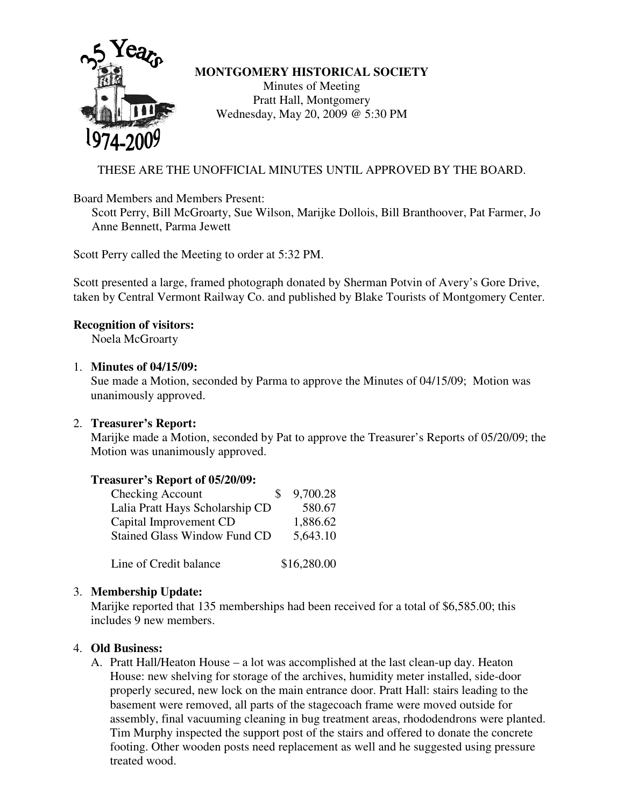

### **MONTGOMERY HISTORICAL SOCIETY**

Minutes of Meeting Pratt Hall, Montgomery Wednesday, May 20, 2009 @ 5:30 PM

# THESE ARE THE UNOFFICIAL MINUTES UNTIL APPROVED BY THE BOARD.

Board Members and Members Present:

Scott Perry, Bill McGroarty, Sue Wilson, Marijke Dollois, Bill Branthoover, Pat Farmer, Jo Anne Bennett, Parma Jewett

Scott Perry called the Meeting to order at 5:32 PM.

Scott presented a large, framed photograph donated by Sherman Potvin of Avery's Gore Drive, taken by Central Vermont Railway Co. and published by Blake Tourists of Montgomery Center.

## **Recognition of visitors:**

Noela McGroarty

### 1. **Minutes of 04/15/09:**

Sue made a Motion, seconded by Parma to approve the Minutes of 04/15/09; Motion was unanimously approved.

### 2. **Treasurer's Report:**

Marijke made a Motion, seconded by Pat to approve the Treasurer's Reports of 05/20/09; the Motion was unanimously approved.

### **Treasurer's Report of 05/20/09:**

| <b>Checking Account</b><br>$\mathcal{S}$ | 9,700.28 |
|------------------------------------------|----------|
| Lalia Pratt Hays Scholarship CD          | 580.67   |
| Capital Improvement CD                   | 1,886.62 |
| <b>Stained Glass Window Fund CD</b>      | 5,643.10 |
|                                          |          |

Line of Credit balance \$16,280.00

## 3. **Membership Update:**

Marijke reported that 135 memberships had been received for a total of \$6,585.00; this includes 9 new members.

### 4. **Old Business:**

A. Pratt Hall/Heaton House – a lot was accomplished at the last clean-up day. Heaton House: new shelving for storage of the archives, humidity meter installed, side-door properly secured, new lock on the main entrance door. Pratt Hall: stairs leading to the basement were removed, all parts of the stagecoach frame were moved outside for assembly, final vacuuming cleaning in bug treatment areas, rhododendrons were planted. Tim Murphy inspected the support post of the stairs and offered to donate the concrete footing. Other wooden posts need replacement as well and he suggested using pressure treated wood.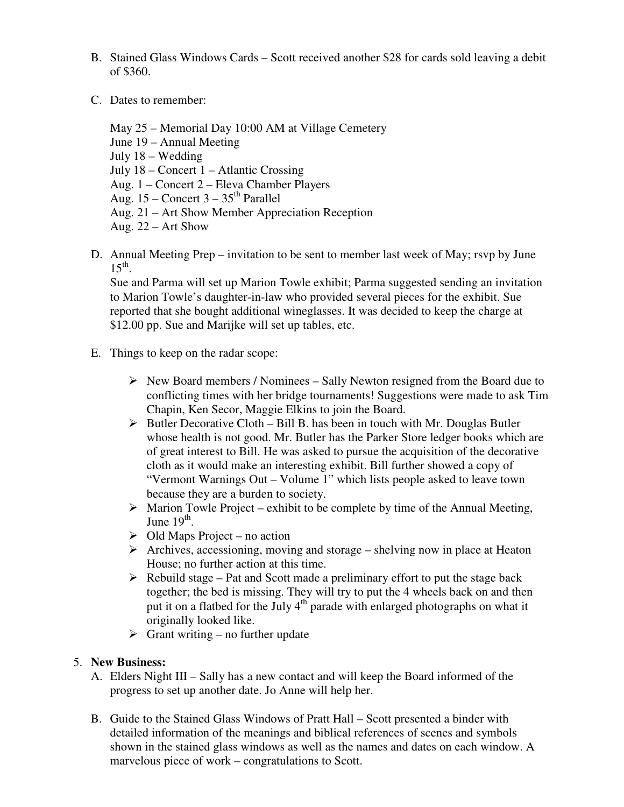- B. Stained Glass Windows Cards Scott received another \$28 for cards sold leaving a debit of \$360.
- C. Dates to remember:

May 25 – Memorial Day 10:00 AM at Village Cemetery June 19 – Annual Meeting July 18 – Wedding July 18 – Concert 1 – Atlantic Crossing Aug. 1 – Concert 2 – Eleva Chamber Players Aug.  $15$  – Concert  $3 - 35$ <sup>th</sup> Parallel Aug. 21 – Art Show Member Appreciation Reception Aug. 22 – Art Show

D. Annual Meeting Prep – invitation to be sent to member last week of May; rsvp by June  $15<sup>th</sup>$ .

Sue and Parma will set up Marion Towle exhibit; Parma suggested sending an invitation to Marion Towle's daughter-in-law who provided several pieces for the exhibit. Sue reported that she bought additional wineglasses. It was decided to keep the charge at \$12.00 pp. Sue and Marijke will set up tables, etc.

- E. Things to keep on the radar scope:
	- $\triangleright$  New Board members / Nominees Sally Newton resigned from the Board due to conflicting times with her bridge tournaments! Suggestions were made to ask Tim Chapin, Ken Secor, Maggie Elkins to join the Board.
	- $\triangleright$  Butler Decorative Cloth Bill B. has been in touch with Mr. Douglas Butler whose health is not good. Mr. Butler has the Parker Store ledger books which are of great interest to Bill. He was asked to pursue the acquisition of the decorative cloth as it would make an interesting exhibit. Bill further showed a copy of "Vermont Warnings Out – Volume 1" which lists people asked to leave town because they are a burden to society.
	- $\triangleright$  Marion Towle Project exhibit to be complete by time of the Annual Meeting, June  $19^{\text{th}}$ .
	- $\triangleright$  Old Maps Project no action
	- $\triangleright$  Archives, accessioning, moving and storage shelving now in place at Heaton House; no further action at this time.
	- $\triangleright$  Rebuild stage Pat and Scott made a preliminary effort to put the stage back together; the bed is missing. They will try to put the 4 wheels back on and then put it on a flatbed for the July 4<sup>th</sup> parade with enlarged photographs on what it originally looked like.
	- $\triangleright$  Grant writing no further update

#### 5. **New Business:**

- A. Elders Night III Sally has a new contact and will keep the Board informed of the progress to set up another date. Jo Anne will help her.
- B. Guide to the Stained Glass Windows of Pratt Hall Scott presented a binder with detailed information of the meanings and biblical references of scenes and symbols shown in the stained glass windows as well as the names and dates on each window. A marvelous piece of work – congratulations to Scott.